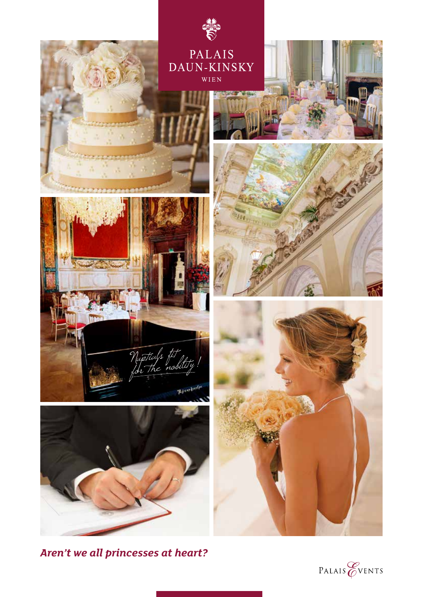

*Aren't we all princesses at heart?*